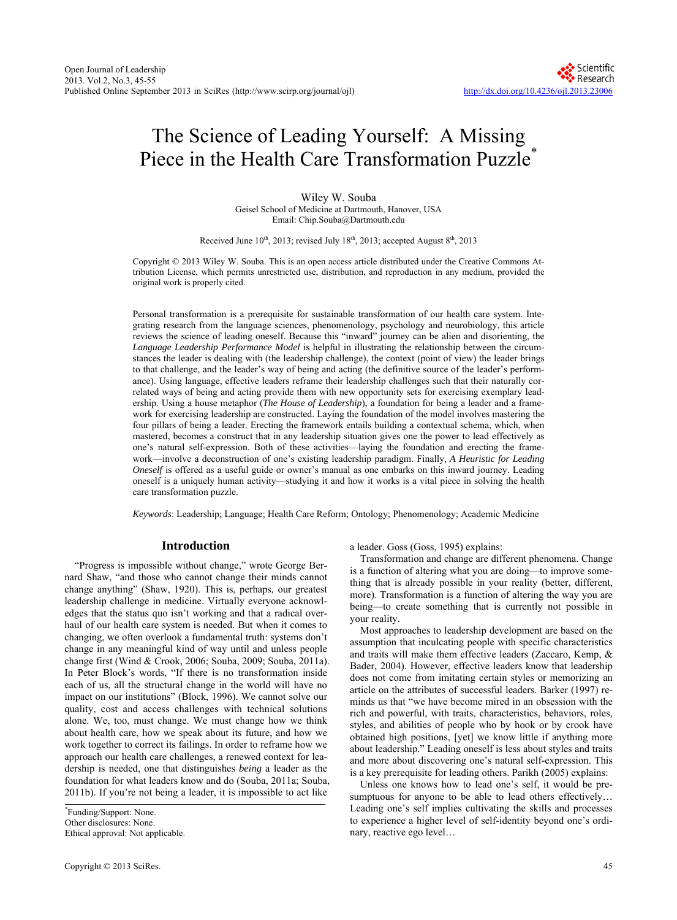# The Science of Leading Yourself: A Missing Piece in the Health Care Transformation Puzzle<sup>\*</sup>

Wiley W. Souba Geisel School of Medicine at Dartmouth, Hanover, USA Email: Chip.Souba@Dartmouth.edu

Received June  $10^{th}$ , 2013; revised July  $18^{th}$ , 2013; accepted August  $8^{th}$ , 2013

Copyright © 2013 Wiley W. Souba. This is an open access article distributed under the Creative Commons Attribution License, which permits unrestricted use, distribution, and reproduction in any medium, provided the original work is properly cited.

Personal transformation is a prerequisite for sustainable transformation of our health care system. Integrating research from the language sciences, phenomenology, psychology and neurobiology, this article reviews the science of leading oneself. Because this "inward" journey can be alien and disorienting, the *Language Leadership Performance Model* is helpful in illustrating the relationship between the circumstances the leader is dealing with (the leadership challenge), the context (point of view) the leader brings to that challenge, and the leader's way of being and acting (the definitive source of the leader's performance). Using language, effective leaders reframe their leadership challenges such that their naturally correlated ways of being and acting provide them with new opportunity sets for exercising exemplary leadership. Using a house metaphor (*The House of Leadership*), a foundation for being a leader and a framework for exercising leadership are constructed. Laying the foundation of the model involves mastering the four pillars of being a leader. Erecting the framework entails building a contextual schema, which, when mastered, becomes a construct that in any leadership situation gives one the power to lead effectively as one's natural self-expression. Both of these activities—laying the foundation and erecting the framework—involve a deconstruction of one's existing leadership paradigm. Finally, *A Heuristic for Leading Oneself* is offered as a useful guide or owner's manual as one embarks on this inward journey. Leading oneself is a uniquely human activity—studying it and how it works is a vital piece in solving the health care transformation puzzle.

*Keywords*: Leadership; Language; Health Care Reform; Ontology; Phenomenology; Academic Medicine

#### **Introduction**

"Progress is impossible without change," wrote George Bernard Shaw, "and those who cannot change their minds cannot change anything" (Shaw, 1920). This is, perhaps, our greatest leadership challenge in medicine. Virtually everyone acknowledges that the status quo isn't working and that a radical overhaul of our health care system is needed. But when it comes to changing, we often overlook a fundamental truth: systems don't change in any meaningful kind of way until and unless people change first (Wind & Crook, 2006; Souba, 2009; Souba, 2011a). In Peter Block's words, "If there is no transformation inside each of us, all the structural change in the world will have no impact on our institutions" (Block, 1996). We cannot solve our quality, cost and access challenges with technical solutions alone. We, too, must change. We must change how we think about health care, how we speak about its future, and how we work together to correct its failings. In order to reframe how we approach our health care challenges, a renewed context for leadership is needed, one that distinguishes *being* a leader as the foundation for what leaders know and do (Souba, 2011a; Souba, 2011b). If you're not being a leader, it is impossible to act like

a leader. Goss (Goss, 1995) explains:

Transformation and change are different phenomena. Change is a function of altering what you are doing—to improve something that is already possible in your reality (better, different, more). Transformation is a function of altering the way you are being—to create something that is currently not possible in your reality.

Most approaches to leadership development are based on the assumption that inculcating people with specific characteristics and traits will make them effective leaders (Zaccaro, Kemp, & Bader, 2004). However, effective leaders know that leadership does not come from imitating certain styles or memorizing an article on the attributes of successful leaders. Barker (1997) reminds us that "we have become mired in an obsession with the rich and powerful, with traits, characteristics, behaviors, roles, styles, and abilities of people who by hook or by crook have obtained high positions, [yet] we know little if anything more about leadership." Leading oneself is less about styles and traits and more about discovering one's natural self-expression. This is a key prerequisite for leading others. Parikh (2005) explains:

Unless one knows how to lead one's self, it would be presumptuous for anyone to be able to lead others effectively... Leading one's self implies cultivating the skills and processes to experience a higher level of self-identity beyond one's ordinary, reactive ego level…

<sup>\*</sup> Funding/Support: None. Other disclosures: None. Ethical approval: Not applicable.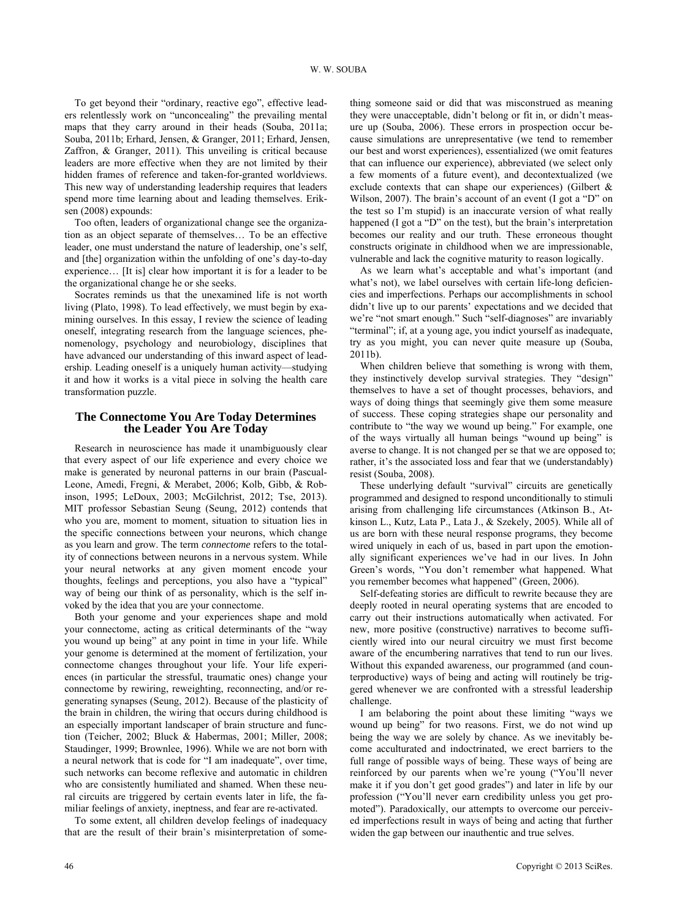To get beyond their "ordinary, reactive ego", effective leaders relentlessly work on "unconcealing" the prevailing mental maps that they carry around in their heads (Souba, 2011a; Souba, 2011b; Erhard, Jensen, & Granger, 2011; Erhard, Jensen, Zaffron, & Granger, 2011). This unveiling is critical because leaders are more effective when they are not limited by their hidden frames of reference and taken-for-granted worldviews. This new way of understanding leadership requires that leaders spend more time learning about and leading themselves. Eriksen (2008) expounds:

Too often, leaders of organizational change see the organization as an object separate of themselves… To be an effective leader, one must understand the nature of leadership, one's self, and [the] organization within the unfolding of one's day-to-day experience… [It is] clear how important it is for a leader to be the organizational change he or she seeks.

Socrates reminds us that the unexamined life is not worth living (Plato, 1998). To lead effectively, we must begin by examining ourselves. In this essay, I review the science of leading oneself, integrating research from the language sciences, phenomenology, psychology and neurobiology, disciplines that have advanced our understanding of this inward aspect of leadership. Leading oneself is a uniquely human activity—studying it and how it works is a vital piece in solving the health care transformation puzzle.

#### **The Connectome You Are Today Determines the Leader You Are Today**

Research in neuroscience has made it unambiguously clear that every aspect of our life experience and every choice we make is generated by neuronal patterns in our brain (Pascual-Leone, Amedi, Fregni, & Merabet, 2006; Kolb, Gibb, & Robinson, 1995; LeDoux, 2003; McGilchrist, 2012; Tse, 2013). MIT professor Sebastian Seung (Seung, 2012) contends that who you are, moment to moment, situation to situation lies in the specific connections between your neurons, which change as you learn and grow. The term *connectome* refers to the totality of connections between neurons in a nervous system. While your neural networks at any given moment encode your thoughts, feelings and perceptions, you also have a "typical" way of being our think of as personality, which is the self invoked by the idea that you are your connectome.

Both your genome and your experiences shape and mold your connectome, acting as critical determinants of the "way you wound up being" at any point in time in your life. While your genome is determined at the moment of fertilization, your connectome changes throughout your life. Your life experiences (in particular the stressful, traumatic ones) change your connectome by rewiring, reweighting, reconnecting, and/or regenerating synapses (Seung, 2012). Because of the plasticity of the brain in children, the wiring that occurs during childhood is an especially important landscaper of brain structure and function (Teicher, 2002; Bluck & Habermas, 2001; Miller, 2008; Staudinger, 1999; Brownlee, 1996). While we are not born with a neural network that is code for "I am inadequate", over time, such networks can become reflexive and automatic in children who are consistently humiliated and shamed. When these neural circuits are triggered by certain events later in life, the familiar feelings of anxiety, ineptness, and fear are re-activated.

To some extent, all children develop feelings of inadequacy that are the result of their brain's misinterpretation of something someone said or did that was misconstrued as meaning they were unacceptable, didn't belong or fit in, or didn't measure up (Souba, 2006). These errors in prospection occur because simulations are unrepresentative (we tend to remember our best and worst experiences), essentialized (we omit features that can influence our experience), abbreviated (we select only a few moments of a future event), and decontextualized (we exclude contexts that can shape our experiences) (Gilbert  $\&$ Wilson, 2007). The brain's account of an event (I got a "D" on the test so I'm stupid) is an inaccurate version of what really happened (I got a "D" on the test), but the brain's interpretation becomes our reality and our truth. These erroneous thought constructs originate in childhood when we are impressionable, vulnerable and lack the cognitive maturity to reason logically.

As we learn what's acceptable and what's important (and what's not), we label ourselves with certain life-long deficiencies and imperfections. Perhaps our accomplishments in school didn't live up to our parents' expectations and we decided that we're "not smart enough." Such "self-diagnoses" are invariably "terminal"; if, at a young age, you indict yourself as inadequate, try as you might, you can never quite measure up (Souba, 2011b).

When children believe that something is wrong with them, they instinctively develop survival strategies. They "design" themselves to have a set of thought processes, behaviors, and ways of doing things that seemingly give them some measure of success. These coping strategies shape our personality and contribute to "the way we wound up being." For example, one of the ways virtually all human beings "wound up being" is averse to change. It is not changed per se that we are opposed to; rather, it's the associated loss and fear that we (understandably) resist (Souba, 2008).

These underlying default "survival" circuits are genetically programmed and designed to respond unconditionally to stimuli arising from challenging life circumstances (Atkinson B., Atkinson L., Kutz, Lata P., Lata J., & Szekely, 2005). While all of us are born with these neural response programs, they become wired uniquely in each of us, based in part upon the emotionally significant experiences we've had in our lives. In John Green's words, "You don't remember what happened. What you remember becomes what happened" (Green, 2006).

Self-defeating stories are difficult to rewrite because they are deeply rooted in neural operating systems that are encoded to carry out their instructions automatically when activated. For new, more positive (constructive) narratives to become sufficiently wired into our neural circuitry we must first become aware of the encumbering narratives that tend to run our lives. Without this expanded awareness, our programmed (and counterproductive) ways of being and acting will routinely be triggered whenever we are confronted with a stressful leadership challenge.

I am belaboring the point about these limiting "ways we wound up being" for two reasons. First, we do not wind up being the way we are solely by chance. As we inevitably become acculturated and indoctrinated, we erect barriers to the full range of possible ways of being. These ways of being are reinforced by our parents when we're young ("You'll never make it if you don't get good grades") and later in life by our profession ("You'll never earn credibility unless you get promoted"). Paradoxically, our attempts to overcome our perceived imperfections result in ways of being and acting that further widen the gap between our inauthentic and true selves.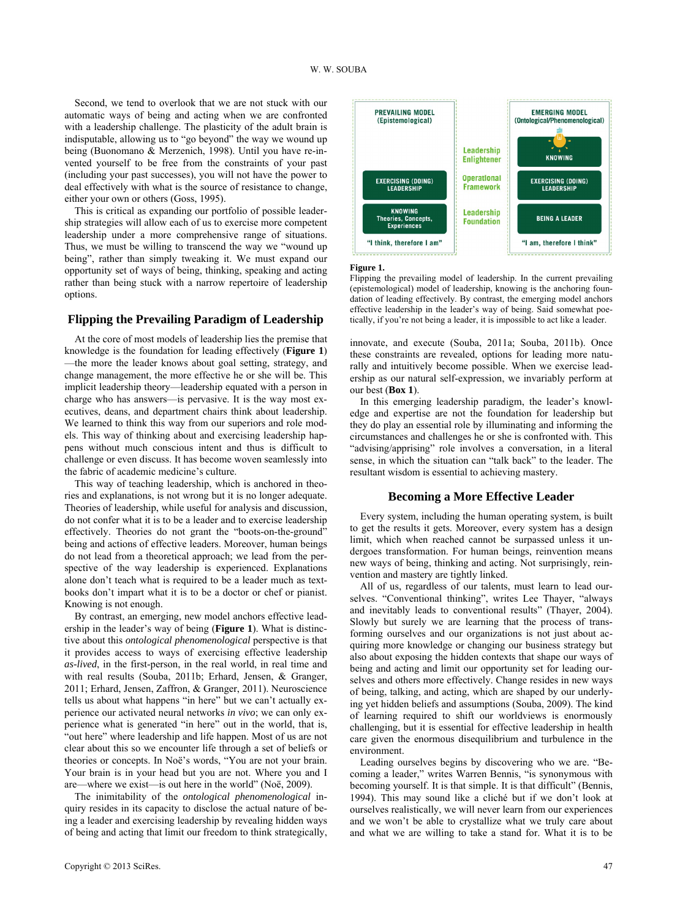Second, we tend to overlook that we are not stuck with our automatic ways of being and acting when we are confronted with a leadership challenge. The plasticity of the adult brain is indisputable, allowing us to "go beyond" the way we wound up being (Buonomano & Merzenich, 1998). Until you have re-invented yourself to be free from the constraints of your past (including your past successes), you will not have the power to deal effectively with what is the source of resistance to change, either your own or others (Goss, 1995).

This is critical as expanding our portfolio of possible leadership strategies will allow each of us to exercise more competent leadership under a more comprehensive range of situations. Thus, we must be willing to transcend the way we "wound up being", rather than simply tweaking it. We must expand our opportunity set of ways of being, thinking, speaking and acting rather than being stuck with a narrow repertoire of leadership options.

# **Flipping the Prevailing Paradigm of Leadership**

At the core of most models of leadership lies the premise that knowledge is the foundation for leading effectively (**Figure 1**) —the more the leader knows about goal setting, strategy, and change management, the more effective he or she will be. This implicit leadership theory—leadership equated with a person in charge who has answers—is pervasive. It is the way most executives, deans, and department chairs think about leadership. We learned to think this way from our superiors and role models. This way of thinking about and exercising leadership happens without much conscious intent and thus is difficult to challenge or even discuss. It has become woven seamlessly into the fabric of academic medicine's culture.

This way of teaching leadership, which is anchored in theories and explanations, is not wrong but it is no longer adequate. Theories of leadership, while useful for analysis and discussion, do not confer what it is to be a leader and to exercise leadership effectively. Theories do not grant the "boots-on-the-ground" being and actions of effective leaders. Moreover, human beings do not lead from a theoretical approach; we lead from the perspective of the way leadership is experienced. Explanations alone don't teach what is required to be a leader much as textbooks don't impart what it is to be a doctor or chef or pianist. Knowing is not enough.

By contrast, an emerging, new model anchors effective leadership in the leader's way of being (**Figure 1**). What is distinctive about this *ontological phenomenological* perspective is that it provides access to ways of exercising effective leadership *as-lived*, in the first-person, in the real world, in real time and with real results (Souba, 2011b; Erhard, Jensen, & Granger, 2011; Erhard, Jensen, Zaffron, & Granger, 2011). Neuroscience tells us about what happens "in here" but we can't actually experience our activated neural networks *in vivo*; we can only experience what is generated "in here" out in the world, that is, "out here" where leadership and life happen. Most of us are not clear about this so we encounter life through a set of beliefs or theories or concepts. In Noë's words, "You are not your brain. Your brain is in your head but you are not. Where you and I are—where we exist—is out here in the world" (Noë, 2009).

The inimitability of the *ontological phenomenological* inquiry resides in its capacity to disclose the actual nature of being a leader and exercising leadership by revealing hidden ways of being and acting that limit our freedom to think strategically,



**Figure 1.** 

Flipping the prevailing model of leadership. In the current prevailing (epistemological) model of leadership, knowing is the anchoring foundation of leading effectively. By contrast, the emerging model anchors effective leadership in the leader's way of being. Said somewhat poetically, if you're not being a leader, it is impossible to act like a leader.

innovate, and execute (Souba, 2011a; Souba, 2011b). Once these constraints are revealed, options for leading more naturally and intuitively become possible. When we exercise leadership as our natural self-expression, we invariably perform at our best (**Box 1**).

In this emerging leadership paradigm, the leader's knowledge and expertise are not the foundation for leadership but they do play an essential role by illuminating and informing the circumstances and challenges he or she is confronted with. This "advising/apprising" role involves a conversation, in a literal sense, in which the situation can "talk back" to the leader. The resultant wisdom is essential to achieving mastery.

#### **Becoming a More Effective Leader**

Every system, including the human operating system, is built to get the results it gets. Moreover, every system has a design limit, which when reached cannot be surpassed unless it undergoes transformation. For human beings, reinvention means new ways of being, thinking and acting. Not surprisingly, reinvention and mastery are tightly linked.

All of us, regardless of our talents, must learn to lead ourselves. "Conventional thinking", writes Lee Thayer, "always and inevitably leads to conventional results" (Thayer, 2004). Slowly but surely we are learning that the process of transforming ourselves and our organizations is not just about acquiring more knowledge or changing our business strategy but also about exposing the hidden contexts that shape our ways of being and acting and limit our opportunity set for leading ourselves and others more effectively. Change resides in new ways of being, talking, and acting, which are shaped by our underlying yet hidden beliefs and assumptions (Souba, 2009). The kind of learning required to shift our worldviews is enormously challenging, but it is essential for effective leadership in health care given the enormous disequilibrium and turbulence in the environment.

Leading ourselves begins by discovering who we are. "Becoming a leader," writes Warren Bennis, "is synonymous with becoming yourself. It is that simple. It is that difficult" (Bennis, 1994). This may sound like a cliché but if we don't look at ourselves realistically, we will never learn from our experiences and we won't be able to crystallize what we truly care about and what we are willing to take a stand for. What it is to be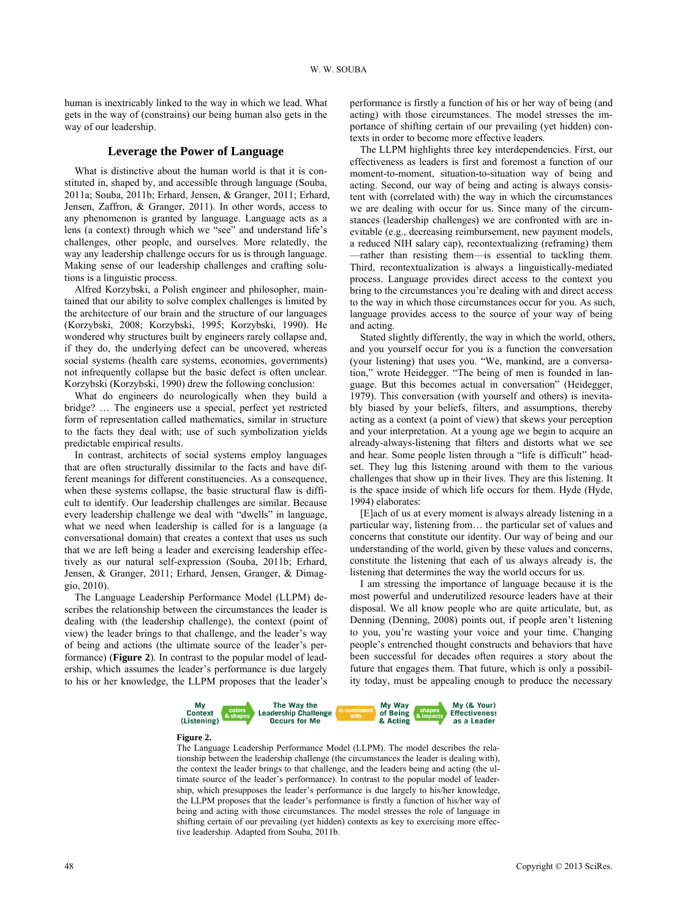human is inextricably linked to the way in which we lead. What gets in the way of (constrains) our being human also gets in the way of our leadership.

What is distinctive about the human world is that it is constituted in, shaped by, and accessible through language (Souba, 2011a; Souba, 2011b; Erhard, Jensen, & Granger, 2011; Erhard, Jensen, Zaffron, & Granger, 2011). In other words, access to any phenomenon is granted by language. Language acts as a lens (a context) through which we "see" and understand life's challenges, other people, and ourselves. More relatedly, the way any leadership challenge occurs for us is through language. Making sense of our leadership challenges and crafting solutions is a linguistic process.

Alfred Korzybski, a Polish engineer and philosopher, maintained that our ability to solve complex challenges is limited by the architecture of our brain and the structure of our languages (Korzybski, 2008; Korzybski, 1995; Korzybski, 1990). He wondered why structures built by engineers rarely collapse and, if they do, the underlying defect can be uncovered, whereas social systems (health care systems, economies, governments) not infrequently collapse but the basic defect is often unclear. Korzybski (Korzybski, 1990) drew the following conclusion:

What do engineers do neurologically when they build a bridge? … The engineers use a special, perfect yet restricted form of representation called mathematics, similar in structure to the facts they deal with; use of such symbolization yields predictable empirical results.

In contrast, architects of social systems employ languages that are often structurally dissimilar to the facts and have different meanings for different constituencies. As a consequence, when these systems collapse, the basic structural flaw is difficult to identify. Our leadership challenges are similar. Because every leadership challenge we deal with "dwells" in language, what we need when leadership is called for is a language (a conversational domain) that creates a context that uses us such that we are left being a leader and exercising leadership effectively as our natural self-expression (Souba, 2011b; Erhard, Jensen, & Granger, 2011; Erhard, Jensen, Granger, & Dimaggio, 2010).

The Language Leadership Performance Model (LLPM) describes the relationship between the circumstances the leader is dealing with (the leadership challenge), the context (point of view) the leader brings to that challenge, and the leader's way of being and actions (the ultimate source of the leader's performance) (**Figure 2**). In contrast to the popular model of leadership, which assumes the leader's performance is due largely to his or her knowledge, the LLPM proposes that the leader's

performance is firstly a function of his or her way of being (and acting) with those circumstances. The model stresses the importance of shifting certain of our prevailing (yet hidden) contexts in order to become more effective leaders.

**Leverage the Power of Language** The LLPM highlights three key interdependencies. First, our effectiveness as leaders is first and foremost a function of our moment-to-moment, situation-to-situation way of being and acting. Second, our way of being and acting is always consistent with (correlated with) the way in which the circumstances we are dealing with occur for us. Since many of the circumstances (leadership challenges) we are confronted with are inevitable (e.g., decreasing reimbursement, new payment models, a reduced NIH salary cap), recontextualizing (reframing) them —rather than resisting them—is essential to tackling them. Third, recontextualization is always a linguistically-mediated process. Language provides direct access to the context you bring to the circumstances you're dealing with and direct access to the way in which those circumstances occur for you. As such, language provides access to the source of your way of being and acting.

Stated slightly differently, the way in which the world, others, and you yourself occur for you is a function the conversation (your listening) that uses you. "We, mankind, are a conversation," wrote Heidegger. "The being of men is founded in language. But this becomes actual in conversation" (Heidegger, 1979). This conversation (with yourself and others) is inevitably biased by your beliefs, filters, and assumptions, thereby acting as a context (a point of view) that skews your perception and your interpretation. At a young age we begin to acquire an already-always-listening that filters and distorts what we see and hear. Some people listen through a "life is difficult" headset. They lug this listening around with them to the various challenges that show up in their lives. They are this listening. It is the space inside of which life occurs for them. Hyde (Hyde, 1994) elaborates:

[E]ach of us at every moment is always already listening in a particular way, listening from… the particular set of values and concerns that constitute our identity. Our way of being and our understanding of the world, given by these values and concerns, constitute the listening that each of us always already is, the listening that determines the way the world occurs for us.

I am stressing the importance of language because it is the most powerful and underutilized resource leaders have at their disposal. We all know people who are quite articulate, but, as Denning (Denning, 2008) points out, if people aren't listening to you, you're wasting your voice and your time. Changing people's entrenched thought constructs and behaviors that have been successful for decades often requires a story about the future that engages them. That future, which is only a possibility today, must be appealing enough to produce the necessary



#### **Figure 2.**

The Language Leadership Performance Model (LLPM). The model describes the relationship between the leadership challenge (the circumstances the leader is dealing with), the context the leader brings to that challenge, and the leaders being and acting (the ultimate source of the leader's performance). In contrast to the popular model of leadership, which presupposes the leader's performance is due largely to his/her knowledge, the LLPM proposes that the leader's performance is firstly a function of his/her way of being and acting with those circumstances. The model stresses the role of language in shifting certain of our prevailing (yet hidden) contexts as key to exercising more effective leadership. Adapted from Souba, 2011b.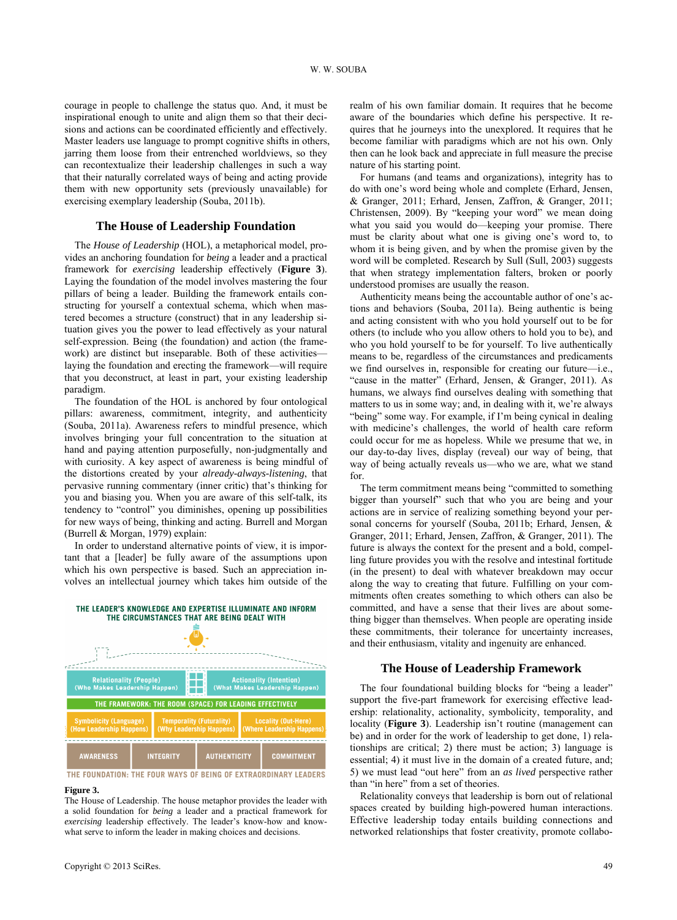courage in people to challenge the status quo. And, it must be inspirational enough to unite and align them so that their decisions and actions can be coordinated efficiently and effectively. Master leaders use language to prompt cognitive shifts in others, jarring them loose from their entrenched worldviews, so they can recontextualize their leadership challenges in such a way that their naturally correlated ways of being and acting provide them with new opportunity sets (previously unavailable) for exercising exemplary leadership (Souba, 2011b).

#### **The House of Leadership Foundation**

The *House of Leadership* (HOL), a metaphorical model, provides an anchoring foundation for *being* a leader and a practical framework for *exercising* leadership effectively (**Figure 3**). Laying the foundation of the model involves mastering the four pillars of being a leader. Building the framework entails constructing for yourself a contextual schema, which when mastered becomes a structure (construct) that in any leadership situation gives you the power to lead effectively as your natural self-expression. Being (the foundation) and action (the framework) are distinct but inseparable. Both of these activities laying the foundation and erecting the framework—will require that you deconstruct, at least in part, your existing leadership paradigm.

The foundation of the HOL is anchored by four ontological pillars: awareness, commitment, integrity, and authenticity (Souba, 2011a). Awareness refers to mindful presence, which involves bringing your full concentration to the situation at hand and paying attention purposefully, non-judgmentally and with curiosity. A key aspect of awareness is being mindful of the distortions created by your *already-always-listening*, that pervasive running commentary (inner critic) that's thinking for you and biasing you. When you are aware of this self-talk, its tendency to "control" you diminishes, opening up possibilities for new ways of being, thinking and acting. Burrell and Morgan (Burrell & Morgan, 1979) explain:

In order to understand alternative points of view, it is important that a [leader] be fully aware of the assumptions upon which his own perspective is based. Such an appreciation involves an intellectual journey which takes him outside of the



#### **Figure 3.**

The House of Leadership. The house metaphor provides the leader with a solid foundation for *being* a leader and a practical framework for *exercising* leadership effectively. The leader's know-how and knowwhat serve to inform the leader in making choices and decisions.

realm of his own familiar domain. It requires that he become aware of the boundaries which define his perspective. It requires that he journeys into the unexplored. It requires that he become familiar with paradigms which are not his own. Only then can he look back and appreciate in full measure the precise nature of his starting point.

For humans (and teams and organizations), integrity has to do with one's word being whole and complete (Erhard, Jensen, & Granger, 2011; Erhard, Jensen, Zaffron, & Granger, 2011; Christensen, 2009). By "keeping your word" we mean doing what you said you would do—keeping your promise. There must be clarity about what one is giving one's word to, to whom it is being given, and by when the promise given by the word will be completed. Research by Sull (Sull, 2003) suggests that when strategy implementation falters, broken or poorly understood promises are usually the reason.

Authenticity means being the accountable author of one's actions and behaviors (Souba, 2011a). Being authentic is being and acting consistent with who you hold yourself out to be for others (to include who you allow others to hold you to be), and who you hold yourself to be for yourself. To live authentically means to be, regardless of the circumstances and predicaments we find ourselves in, responsible for creating our future—i.e., "cause in the matter" (Erhard, Jensen, & Granger, 2011). As humans, we always find ourselves dealing with something that matters to us in some way; and, in dealing with it, we're always "being" some way. For example, if I'm being cynical in dealing with medicine's challenges, the world of health care reform could occur for me as hopeless. While we presume that we, in our day-to-day lives, display (reveal) our way of being, that way of being actually reveals us—who we are, what we stand for.

The term commitment means being "committed to something bigger than yourself" such that who you are being and your actions are in service of realizing something beyond your personal concerns for yourself (Souba, 2011b; Erhard, Jensen, & Granger, 2011; Erhard, Jensen, Zaffron, & Granger, 2011). The future is always the context for the present and a bold, compelling future provides you with the resolve and intestinal fortitude (in the present) to deal with whatever breakdown may occur along the way to creating that future. Fulfilling on your commitments often creates something to which others can also be committed, and have a sense that their lives are about something bigger than themselves. When people are operating inside these commitments, their tolerance for uncertainty increases, and their enthusiasm, vitality and ingenuity are enhanced.

### **The House of Leadership Framework**

The four foundational building blocks for "being a leader" support the five-part framework for exercising effective leadership: relationality, actionality, symbolicity, temporality, and locality (**Figure 3**). Leadership isn't routine (management can be) and in order for the work of leadership to get done, 1) relationships are critical; 2) there must be action; 3) language is essential; 4) it must live in the domain of a created future, and; 5) we must lead "out here" from an *as lived* perspective rather than "in here" from a set of theories.

Relationality conveys that leadership is born out of relational spaces created by building high-powered human interactions. Effective leadership today entails building connections and networked relationships that foster creativity, promote collabo-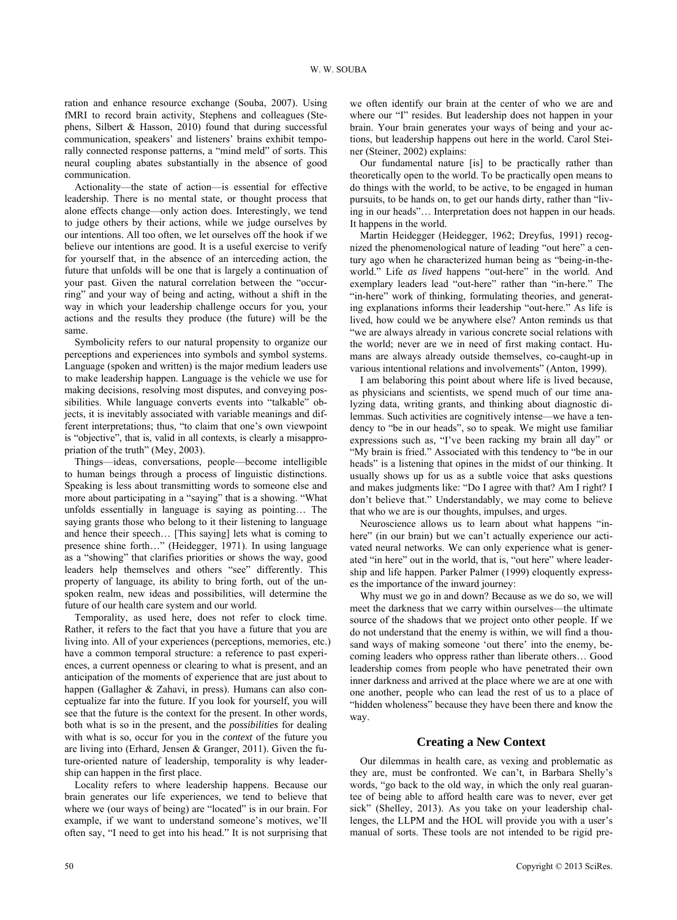ration and enhance resource exchange (Souba, 2007). Using fMRI to record brain activity, Stephens and colleagues (Stephens, Silbert & Hasson, 2010) found that during successful communication, speakers' and listeners' brains exhibit temporally connected response patterns, a "mind meld" of sorts. This neural coupling abates substantially in the absence of good communication.

Actionality—the state of action—is essential for effective leadership. There is no mental state, or thought process that alone effects change—only action does. Interestingly, we tend to judge others by their actions, while we judge ourselves by our intentions. All too often, we let ourselves off the hook if we believe our intentions are good. It is a useful exercise to verify for yourself that, in the absence of an interceding action, the future that unfolds will be one that is largely a continuation of your past. Given the natural correlation between the "occurring" and your way of being and acting, without a shift in the way in which your leadership challenge occurs for you, your actions and the results they produce (the future) will be the same.

Symbolicity refers to our natural propensity to organize our perceptions and experiences into symbols and symbol systems. Language (spoken and written) is the major medium leaders use to make leadership happen. Language is the vehicle we use for making decisions, resolving most disputes, and conveying possibilities. While language converts events into "talkable" objects, it is inevitably associated with variable meanings and different interpretations; thus, "to claim that one's own viewpoint is "objective", that is, valid in all contexts, is clearly a misappropriation of the truth" (Mey, 2003).

Things—ideas, conversations, people—become intelligible to human beings through a process of linguistic distinctions. Speaking is less about transmitting words to someone else and more about participating in a "saying" that is a showing. "What unfolds essentially in language is saying as pointing… The saying grants those who belong to it their listening to language and hence their speech… [This saying] lets what is coming to presence shine forth…" (Heidegger, 1971). In using language as a "showing" that clarifies priorities or shows the way, good leaders help themselves and others "see" differently. This property of language, its ability to bring forth, out of the unspoken realm, new ideas and possibilities, will determine the future of our health care system and our world.

Temporality, as used here, does not refer to clock time. Rather, it refers to the fact that you have a future that you are living into. All of your experiences (perceptions, memories, etc.) have a common temporal structure: a reference to past experiences, a current openness or clearing to what is present, and an anticipation of the moments of experience that are just about to happen (Gallagher & Zahavi, in press). Humans can also conceptualize far into the future. If you look for yourself, you will see that the future is the context for the present. In other words, both what is so in the present, and the *possibilities* for dealing with what is so, occur for you in the *context* of the future you are living into (Erhard, Jensen & Granger, 2011). Given the future-oriented nature of leadership, temporality is why leadership can happen in the first place.

Locality refers to where leadership happens. Because our brain generates our life experiences, we tend to believe that where we (our ways of being) are "located" is in our brain. For example, if we want to understand someone's motives, we'll often say, "I need to get into his head." It is not surprising that we often identify our brain at the center of who we are and where our "I" resides. But leadership does not happen in your brain. Your brain generates your ways of being and your actions, but leadership happens out here in the world. Carol Steiner (Steiner, 2002) explains:

Our fundamental nature [is] to be practically rather than theoretically open to the world. To be practically open means to do things with the world, to be active, to be engaged in human pursuits, to be hands on, to get our hands dirty, rather than "living in our heads"… Interpretation does not happen in our heads. It happens in the world.

Martin Heidegger (Heidegger, 1962; Dreyfus, 1991) recognized the phenomenological nature of leading "out here" a century ago when he characterized human being as "being-in-theworld." Life *as lived* happens "out-here" in the world. And exemplary leaders lead "out-here" rather than "in-here." The "in-here" work of thinking, formulating theories, and generating explanations informs their leadership "out-here." As life is lived, how could we be anywhere else? Anton reminds us that "we are always already in various concrete social relations with the world; never are we in need of first making contact. Humans are always already outside themselves, co-caught-up in various intentional relations and involvements" (Anton, 1999).

I am belaboring this point about where life is lived because, as physicians and scientists, we spend much of our time analyzing data, writing grants, and thinking about diagnostic dilemmas. Such activities are cognitively intense—we have a tendency to "be in our heads", so to speak. We might use familiar expressions such as, "I've been racking my brain all day" or "My brain is fried." Associated with this tendency to "be in our heads" is a listening that opines in the midst of our thinking. It usually shows up for us as a subtle voice that asks questions and makes judgments like: "Do I agree with that? Am I right? I don't believe that." Understandably, we may come to believe that who we are is our thoughts, impulses, and urges.

Neuroscience allows us to learn about what happens "inhere" (in our brain) but we can't actually experience our activated neural networks. We can only experience what is generated "in here" out in the world, that is, "out here" where leadership and life happen. Parker Palmer (1999) eloquently expresses the importance of the inward journey:

Why must we go in and down? Because as we do so, we will meet the darkness that we carry within ourselves—the ultimate source of the shadows that we project onto other people. If we do not understand that the enemy is within, we will find a thousand ways of making someone 'out there' into the enemy, becoming leaders who oppress rather than liberate others… Good leadership comes from people who have penetrated their own inner darkness and arrived at the place where we are at one with one another, people who can lead the rest of us to a place of "hidden wholeness" because they have been there and know the way.

#### **Creating a New Context**

Our dilemmas in health care, as vexing and problematic as they are, must be confronted. We can't, in Barbara Shelly's words, "go back to the old way, in which the only real guarantee of being able to afford health care was to never, ever get sick" (Shelley, 2013). As you take on your leadership challenges, the LLPM and the HOL will provide you with a user's manual of sorts. These tools are not intended to be rigid pre-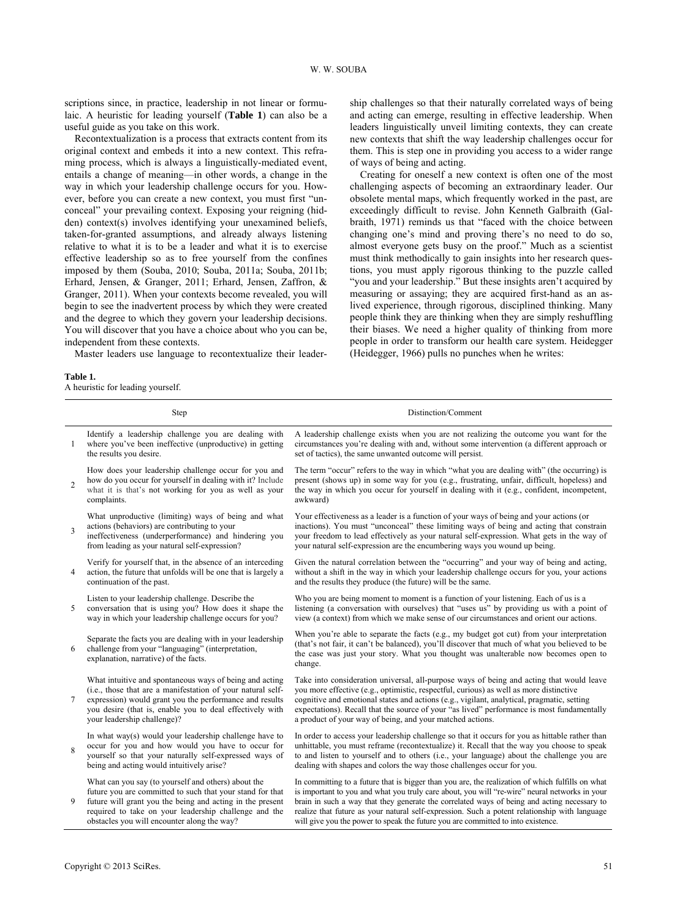scriptions since, in practice, leadership in not linear or formulaic. A heuristic for leading yourself (**Table 1**) can also be a useful guide as you take on this work.

Recontextualization is a process that extracts content from its original context and embeds it into a new context. This reframing process, which is always a linguistically-mediated event, entails a change of meaning—in other words, a change in the way in which your leadership challenge occurs for you. However, before you can create a new context, you must first "unconceal" your prevailing context. Exposing your reigning (hidden) context(s) involves identifying your unexamined beliefs, taken-for-granted assumptions, and already always listening relative to what it is to be a leader and what it is to exercise effective leadership so as to free yourself from the confines imposed by them (Souba, 2010; Souba, 2011a; Souba, 2011b; Erhard, Jensen, & Granger, 2011; Erhard, Jensen, Zaffron, & Granger, 2011). When your contexts become revealed, you will begin to see the inadvertent process by which they were created and the degree to which they govern your leadership decisions. You will discover that you have a choice about who you can be, independent from these contexts.

Master leaders use language to recontextualize their leader-

#### **Table 1.**

A heuristic for leading yourself.

ship challenges so that their naturally correlated ways of being and acting can emerge, resulting in effective leadership. When leaders linguistically unveil limiting contexts, they can create new contexts that shift the way leadership challenges occur for them. This is step one in providing you access to a wider range of ways of being and acting.

Creating for oneself a new context is often one of the most challenging aspects of becoming an extraordinary leader. Our obsolete mental maps, which frequently worked in the past, are exceedingly difficult to revise. John Kenneth Galbraith (Galbraith, 1971) reminds us that "faced with the choice between changing one's mind and proving there's no need to do so, almost everyone gets busy on the proof." Much as a scientist must think methodically to gain insights into her research questions, you must apply rigorous thinking to the puzzle called "you and your leadership." But these insights aren't acquired by measuring or assaying; they are acquired first-hand as an aslived experience, through rigorous, disciplined thinking. Many people think they are thinking when they are simply reshuffling their biases. We need a higher quality of thinking from more people in order to transform our health care system. Heidegger (Heidegger, 1966) pulls no punches when he writes:

| Step           |                                                                                                                                                                                                                                                                                       | Distinction/Comment                                                                                                                                                                                                                                                                                                                                                                                                                                                                   |  |
|----------------|---------------------------------------------------------------------------------------------------------------------------------------------------------------------------------------------------------------------------------------------------------------------------------------|---------------------------------------------------------------------------------------------------------------------------------------------------------------------------------------------------------------------------------------------------------------------------------------------------------------------------------------------------------------------------------------------------------------------------------------------------------------------------------------|--|
| 1              | Identify a leadership challenge you are dealing with<br>where you've been ineffective (unproductive) in getting<br>the results you desire.                                                                                                                                            | A leadership challenge exists when you are not realizing the outcome you want for the<br>circumstances you're dealing with and, without some intervention (a different approach or<br>set of tactics), the same unwanted outcome will persist.                                                                                                                                                                                                                                        |  |
| $\overline{2}$ | How does your leadership challenge occur for you and<br>how do you occur for yourself in dealing with it? Include<br>what it is that's not working for you as well as your<br>complaints.                                                                                             | The term "occur" refers to the way in which "what you are dealing with" (the occurring) is<br>present (shows up) in some way for you (e.g., frustrating, unfair, difficult, hopeless) and<br>the way in which you occur for yourself in dealing with it (e.g., confident, incompetent,<br>awkward)                                                                                                                                                                                    |  |
| 3              | What unproductive (limiting) ways of being and what<br>actions (behaviors) are contributing to your<br>ineffectiveness (underperformance) and hindering you<br>from leading as your natural self-expression?                                                                          | Your effectiveness as a leader is a function of your ways of being and your actions (or<br>inactions). You must "unconceal" these limiting ways of being and acting that constrain<br>your freedom to lead effectively as your natural self-expression. What gets in the way of<br>your natural self-expression are the encumbering ways you wound up being.                                                                                                                          |  |
| 4              | Verify for yourself that, in the absence of an interceding<br>action, the future that unfolds will be one that is largely a<br>continuation of the past.                                                                                                                              | Given the natural correlation between the "occurring" and your way of being and acting.<br>without a shift in the way in which your leadership challenge occurs for you, your actions<br>and the results they produce (the future) will be the same.                                                                                                                                                                                                                                  |  |
| 5              | Listen to your leadership challenge. Describe the<br>conversation that is using you? How does it shape the<br>way in which your leadership challenge occurs for you?                                                                                                                  | Who you are being moment to moment is a function of your listening. Each of us is a<br>listening (a conversation with ourselves) that "uses us" by providing us with a point of<br>view (a context) from which we make sense of our circumstances and orient our actions.                                                                                                                                                                                                             |  |
| 6              | Separate the facts you are dealing with in your leadership<br>challenge from your "languaging" (interpretation,<br>explanation, narrative) of the facts.                                                                                                                              | When you're able to separate the facts (e.g., my budget got cut) from your interpretation<br>(that's not fair, it can't be balanced), you'll discover that much of what you believed to be<br>the case was just your story. What you thought was unalterable now becomes open to<br>change.                                                                                                                                                                                           |  |
| 7              | What intuitive and spontaneous ways of being and acting<br>(i.e., those that are a manifestation of your natural self-<br>expression) would grant you the performance and results<br>you desire (that is, enable you to deal effectively with<br>your leadership challenge)?          | Take into consideration universal, all-purpose ways of being and acting that would leave<br>you more effective (e.g., optimistic, respectful, curious) as well as more distinctive<br>cognitive and emotional states and actions (e.g., vigilant, analytical, pragmatic, setting<br>expectations). Recall that the source of your "as lived" performance is most fundamentally<br>a product of your way of being, and your matched actions.                                           |  |
| 8              | In what way(s) would your leadership challenge have to<br>occur for you and how would you have to occur for<br>yourself so that your naturally self-expressed ways of<br>being and acting would intuitively arise?                                                                    | In order to access your leadership challenge so that it occurs for you as hittable rather than<br>unhittable, you must reframe (recontextualize) it. Recall that the way you choose to speak<br>to and listen to yourself and to others (i.e., your language) about the challenge you are<br>dealing with shapes and colors the way those challenges occur for you.                                                                                                                   |  |
| 9              | What can you say (to yourself and others) about the<br>future you are committed to such that your stand for that<br>future will grant you the being and acting in the present<br>required to take on your leadership challenge and the<br>obstacles you will encounter along the way? | In committing to a future that is bigger than you are, the realization of which fulfills on what<br>is important to you and what you truly care about, you will "re-wire" neural networks in your<br>brain in such a way that they generate the correlated ways of being and acting necessary to<br>realize that future as your natural self-expression. Such a potent relationship with language<br>will give you the power to speak the future you are committed to into existence. |  |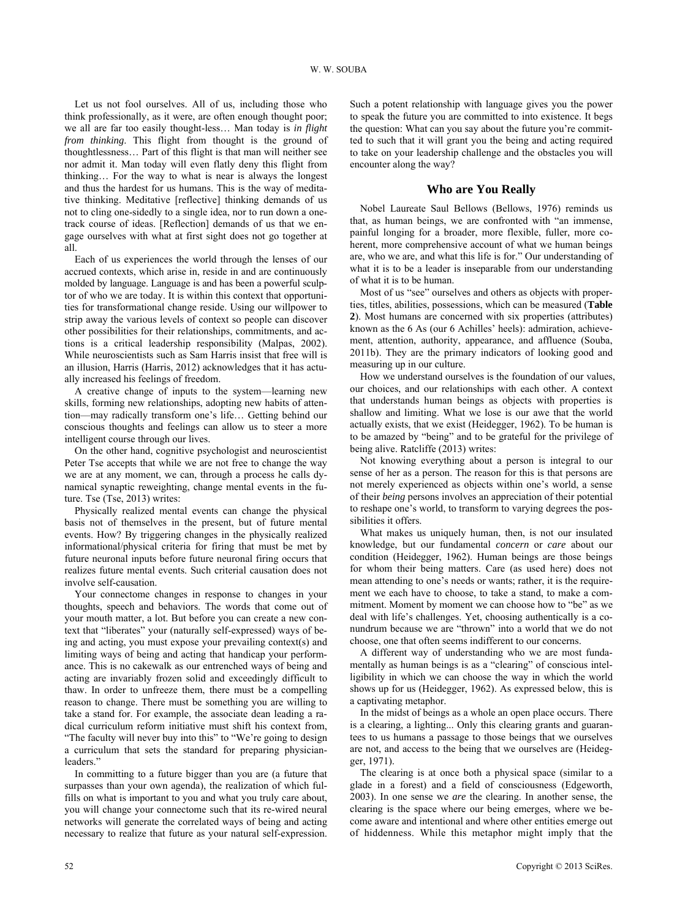Let us not fool ourselves. All of us, including those who think professionally, as it were, are often enough thought poor; we all are far too easily thought-less… Man today is *in flight from thinking*. This flight from thought is the ground of thoughtlessness… Part of this flight is that man will neither see nor admit it. Man today will even flatly deny this flight from thinking… For the way to what is near is always the longest and thus the hardest for us humans. This is the way of meditative thinking. Meditative [reflective] thinking demands of us not to cling one-sidedly to a single idea, nor to run down a onetrack course of ideas. [Reflection] demands of us that we engage ourselves with what at first sight does not go together at all.

Each of us experiences the world through the lenses of our accrued contexts, which arise in, reside in and are continuously molded by language. Language is and has been a powerful sculptor of who we are today. It is within this context that opportunities for transformational change reside. Using our willpower to strip away the various levels of context so people can discover other possibilities for their relationships, commitments, and actions is a critical leadership responsibility (Malpas, 2002). While neuroscientists such as Sam Harris insist that free will is an illusion, Harris (Harris, 2012) acknowledges that it has actually increased his feelings of freedom.

A creative change of inputs to the system—learning new skills, forming new relationships, adopting new habits of attention—may radically transform one's life… Getting behind our conscious thoughts and feelings can allow us to steer a more intelligent course through our lives.

On the other hand, cognitive psychologist and neuroscientist Peter Tse accepts that while we are not free to change the way we are at any moment, we can, through a process he calls dynamical synaptic reweighting, change mental events in the future. Tse (Tse, 2013) writes:

Physically realized mental events can change the physical basis not of themselves in the present, but of future mental events. How? By triggering changes in the physically realized informational/physical criteria for firing that must be met by future neuronal inputs before future neuronal firing occurs that realizes future mental events. Such criterial causation does not involve self-causation.

Your connectome changes in response to changes in your thoughts, speech and behaviors. The words that come out of your mouth matter, a lot. But before you can create a new context that "liberates" your (naturally self-expressed) ways of being and acting, you must expose your prevailing context(s) and limiting ways of being and acting that handicap your performance. This is no cakewalk as our entrenched ways of being and acting are invariably frozen solid and exceedingly difficult to thaw. In order to unfreeze them, there must be a compelling reason to change. There must be something you are willing to take a stand for. For example, the associate dean leading a radical curriculum reform initiative must shift his context from, "The faculty will never buy into this" to "We're going to design a curriculum that sets the standard for preparing physicianleaders."

In committing to a future bigger than you are (a future that surpasses than your own agenda), the realization of which fulfills on what is important to you and what you truly care about, you will change your connectome such that its re-wired neural networks will generate the correlated ways of being and acting necessary to realize that future as your natural self-expression.

Such a potent relationship with language gives you the power to speak the future you are committed to into existence. It begs the question: What can you say about the future you're committed to such that it will grant you the being and acting required to take on your leadership challenge and the obstacles you will encounter along the way?

#### **Who are You Really**

Nobel Laureate Saul Bellows (Bellows, 1976) reminds us that, as human beings, we are confronted with "an immense, painful longing for a broader, more flexible, fuller, more coherent, more comprehensive account of what we human beings are, who we are, and what this life is for." Our understanding of what it is to be a leader is inseparable from our understanding of what it is to be human.

Most of us "see" ourselves and others as objects with properties, titles, abilities, possessions, which can be measured (**Table 2**). Most humans are concerned with six properties (attributes) known as the 6 As (our 6 Achilles' heels): admiration, achievement, attention, authority, appearance, and affluence (Souba, 2011b). They are the primary indicators of looking good and measuring up in our culture.

How we understand ourselves is the foundation of our values, our choices, and our relationships with each other. A context that understands human beings as objects with properties is shallow and limiting. What we lose is our awe that the world actually exists, that we exist (Heidegger, 1962). To be human is to be amazed by "being" and to be grateful for the privilege of being alive. Ratcliffe (2013) writes:

Not knowing everything about a person is integral to our sense of her as a person. The reason for this is that persons are not merely experienced as objects within one's world, a sense of their *being* persons involves an appreciation of their potential to reshape one's world, to transform to varying degrees the possibilities it offers.

What makes us uniquely human, then, is not our insulated knowledge, but our fundamental *concern* or *care* about our condition (Heidegger, 1962). Human beings are those beings for whom their being matters. Care (as used here) does not mean attending to one's needs or wants; rather, it is the requirement we each have to choose, to take a stand, to make a commitment. Moment by moment we can choose how to "be" as we deal with life's challenges. Yet, choosing authentically is a conundrum because we are "thrown" into a world that we do not choose, one that often seems indifferent to our concerns.

A different way of understanding who we are most fundamentally as human beings is as a "clearing" of conscious intelligibility in which we can choose the way in which the world shows up for us (Heidegger, 1962). As expressed below, this is a captivating metaphor.

In the midst of beings as a whole an open place occurs. There is a clearing, a lighting... Only this clearing grants and guarantees to us humans a passage to those beings that we ourselves are not, and access to the being that we ourselves are (Heidegger, 1971).

The clearing is at once both a physical space (similar to a glade in a forest) and a field of consciousness (Edgeworth, 2003). In one sense we *are* the clearing. In another sense, the clearing is the space where our being emerges, where we become aware and intentional and where other entities emerge out of hiddenness. While this metaphor might imply that the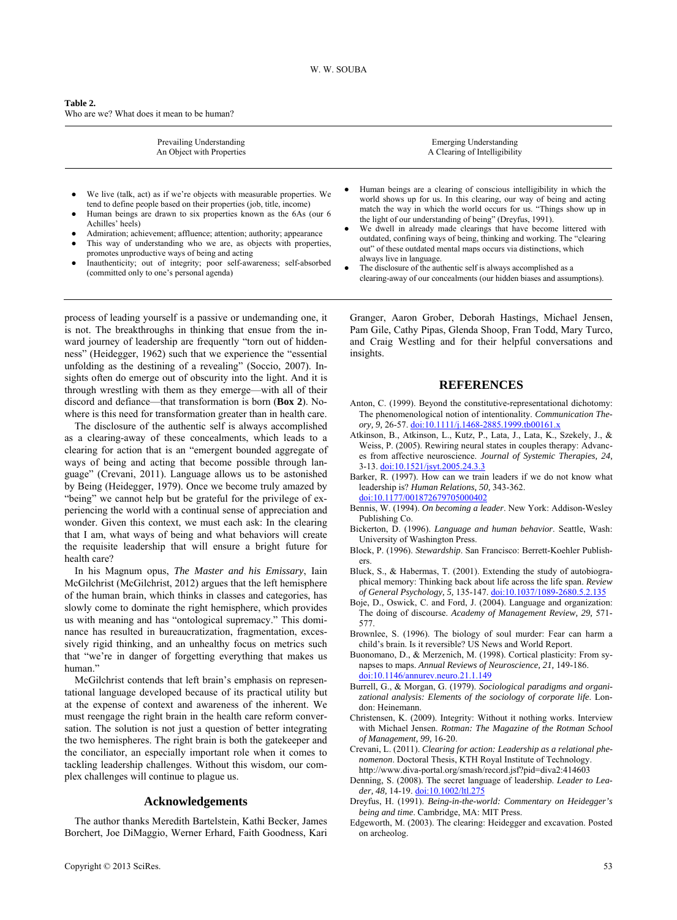| Table 2. |                                            |
|----------|--------------------------------------------|
|          | Who are we? What does it mean to be human? |

| Prevailing Understanding<br>An Object with Properties                                                                                                                                                                                                                                                                                                                                                                                                                                                                                                       | Emerging Understanding<br>A Clearing of Intelligibility                                                                                                                                                                                                                                                                                                                                                                                                                                                                                                                                                                                                                        |
|-------------------------------------------------------------------------------------------------------------------------------------------------------------------------------------------------------------------------------------------------------------------------------------------------------------------------------------------------------------------------------------------------------------------------------------------------------------------------------------------------------------------------------------------------------------|--------------------------------------------------------------------------------------------------------------------------------------------------------------------------------------------------------------------------------------------------------------------------------------------------------------------------------------------------------------------------------------------------------------------------------------------------------------------------------------------------------------------------------------------------------------------------------------------------------------------------------------------------------------------------------|
| We live (talk, act) as if we're objects with measurable properties. We<br>tend to define people based on their properties (job, title, income)<br>Human beings are drawn to six properties known as the 6As (our 6)<br>Achilles' heels)<br>Admiration; achievement; affluence; attention; authority; appearance<br>This way of understanding who we are, as objects with properties,<br>promotes unproductive ways of being and acting<br>Inauthenticity; out of integrity; poor self-awareness; self-absorbed<br>(committed only to one's personal agenda) | Human beings are a clearing of conscious intelligibility in which the<br>world shows up for us. In this clearing, our way of being and acting<br>match the way in which the world occurs for us. "Things show up in<br>the light of our understanding of being" (Dreyfus, 1991).<br>We dwell in already made clearings that have become littered with<br>outdated, confining ways of being, thinking and working. The "clearing<br>out" of these outdated mental maps occurs via distinctions, which<br>always live in language.<br>The disclosure of the authentic self is always accomplished as a<br>clearing-away of our concealments (our hidden biases and assumptions). |
|                                                                                                                                                                                                                                                                                                                                                                                                                                                                                                                                                             |                                                                                                                                                                                                                                                                                                                                                                                                                                                                                                                                                                                                                                                                                |

process of leading yourself is a passive or undemanding one, it is not. The breakthroughs in thinking that ensue from the inward journey of leadership are frequently "torn out of hiddenness" (Heidegger, 1962) such that we experience the "essential unfolding as the destining of a revealing" (Soccio, 2007). Insights often do emerge out of obscurity into the light. And it is through wrestling with them as they emerge—with all of their discord and defiance—that transformation is born (**Box 2**). Nowhere is this need for transformation greater than in health care.

The disclosure of the authentic self is always accomplished as a clearing-away of these concealments, which leads to a clearing for action that is an "emergent bounded aggregate of ways of being and acting that become possible through language" (Crevani, 2011). Language allows us to be astonished by Being (Heidegger, 1979). Once we become truly amazed by "being" we cannot help but be grateful for the privilege of experiencing the world with a continual sense of appreciation and wonder. Given this context, we must each ask: In the clearing that I am, what ways of being and what behaviors will create the requisite leadership that will ensure a bright future for health care?

In his Magnum opus, *The Master and his Emissary*, Iain McGilchrist (McGilchrist, 2012) argues that the left hemisphere of the human brain, which thinks in classes and categories, has slowly come to dominate the right hemisphere, which provides us with meaning and has "ontological supremacy." This dominance has resulted in bureaucratization, fragmentation, excessively rigid thinking, and an unhealthy focus on metrics such that "we're in danger of forgetting everything that makes us human."

McGilchrist contends that left brain's emphasis on representational language developed because of its practical utility but at the expense of context and awareness of the inherent. We must reengage the right brain in the health care reform conversation. The solution is not just a question of better integrating the two hemispheres. The right brain is both the gatekeeper and the conciliator, an especially important role when it comes to tackling leadership challenges. Without this wisdom, our complex challenges will continue to plague us.

# **Acknowledgements**

The author thanks Meredith Bartelstein, Kathi Becker, James Borchert, Joe DiMaggio, Werner Erhard, Faith Goodness, Kari Granger, Aaron Grober, Deborah Hastings, Michael Jensen, Pam Gile, Cathy Pipas, Glenda Shoop, Fran Todd, Mary Turco, and Craig Westling and for their helpful conversations and insights.

# **REFERENCES**

- Anton, C. (1999). Beyond the constitutive-representational dichotomy: The phenomenological notion of intentionality. *Communication Theory, 9,* 26-57. [doi:10.1111/j.1468-2885.1999.tb00161.x](http://dx.doi.org/10.1111/j.1468-2885.1999.tb00161.x)
- Atkinson, B., Atkinson, L., Kutz, P., Lata, J., Lata, K., Szekely, J., & Weiss, P. (2005). Rewiring neural states in couples therapy: Advances from affective neuroscience. *Journal of Systemic Therapies, 24,*  3-13. [doi:10.1521/jsyt.2005.24.3.3](http://dx.doi.org/10.1521/jsyt.2005.24.3.3)
- Barker, R. (1997). How can we train leaders if we do not know what leadership is? *Human Relations, 50,* 343-362. [doi:10.1177/001872679705000402](http://dx.doi.org/10.1177/001872679705000402)
- Bennis, W. (1994). *On becoming a leader*. New York: Addison-Wesley Publishing Co.
- Bickerton, D. (1996). *Language and human behavior*. Seattle, Wash: University of Washington Press.
- Block, P. (1996). *Stewardship*. San Francisco: Berrett-Koehler Publishers.
- Bluck, S., & Habermas, T. (2001). Extending the study of autobiographical memory: Thinking back about life across the life span. *Review of General Psychology, 5,* 135-147. [doi:10.1037/1089-2680.5.2.135](http://dx.doi.org/10.1037/1089-2680.5.2.135)
- Boje, D., Oswick, C. and Ford, J. (2004). Language and organization: The doing of discourse. *Academy of Management Review, 29,* 571- 577.
- Brownlee, S. (1996). The biology of soul murder: Fear can harm a child's brain. Is it reversible? US News and World Report.
- Buonomano, D., & Merzenich, M. (1998). Cortical plasticity: From synapses to maps. *Annual Reviews of Neuroscience, 21,* 149-186. [doi:10.1146/annurev.neuro.21.1.149](http://dx.doi.org/10.1146/annurev.neuro.21.1.149)
- Burrell, G., & Morgan, G. (1979). *Sociological paradigms and organizational analysis: Elements of the sociology of corporate life*. London: Heinemann.
- Christensen, K. (2009). Integrity: Without it nothing works. Interview with Michael Jensen. *Rotman: The Magazine of the Rotman School of Management, 99,* 16-20.
- Crevani, L. (2011). *Clearing for action: Leadership as a relational phenomenon*. Doctoral Thesis, KTH Royal Institute of Technology. http://www.diva-portal.org/smash/record.jsf?pid=diva2:414603
- Denning, S. (2008). The secret language of leadership. *Leader to Leader, 48,* 14-19. [doi:10.1002/ltl.275](http://dx.doi.org/10.1002/ltl.275)
- Dreyfus, H. (1991). *Being-in-the-world: Commentary on Heidegger's being and time*. Cambridge, MA: MIT Press.
- Edgeworth, M. (2003). The clearing: Heidegger and excavation. Posted on archeolog.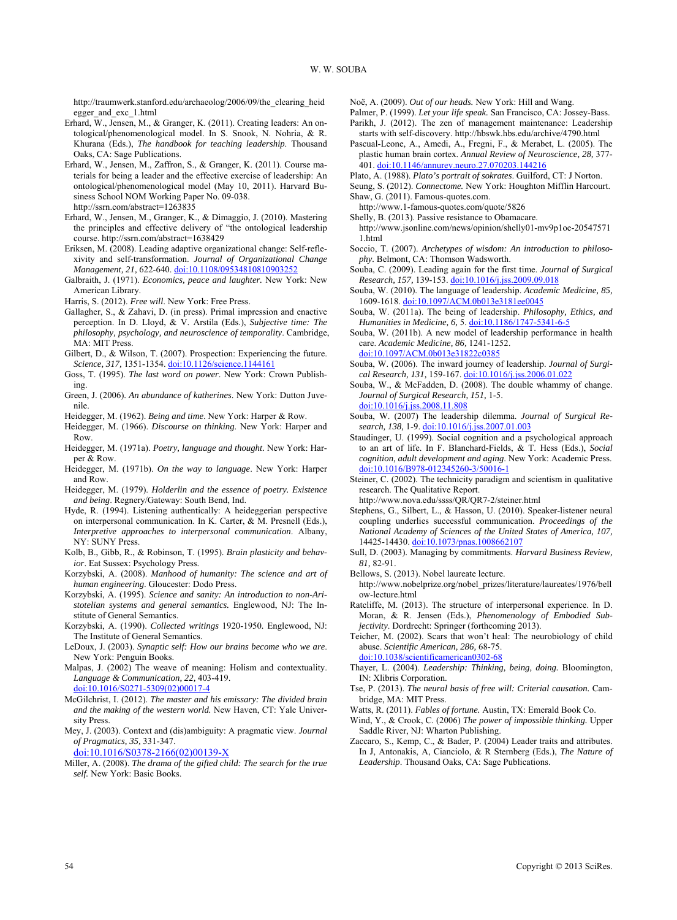http://traumwerk.stanford.edu/archaeolog/2006/09/the\_clearing\_heid egger\_and\_exc\_1.html

- Erhard, W., Jensen, M., & Granger, K. (2011). Creating leaders: An ontological/phenomenological model. In S. Snook, N. Nohria, & R. Khurana (Eds.), *The handbook for teaching leadership*. Thousand Oaks, CA: Sage Publications.
- Erhard, W., Jensen, M., Zaffron, S., & Granger, K. (2011). Course materials for being a leader and the effective exercise of leadership: An ontological/phenomenological model (May 10, 2011). Harvard Business School NOM Working Paper No. 09-038. http://ssrn.com/abstract=1263835

Erhard, W., Jensen, M., Granger, K., & Dimaggio, J. (2010). Mastering the principles and effective delivery of "the ontological leadership course. http://ssrn.com/abstract=1638429

- Eriksen, M. (2008). Leading adaptive organizational change: Self-reflexivity and self-transformation. *Journal of Organizational Change Management, 21, 622-640. doi:10.1108/0953481081090325*
- Galbraith, J. (1971). *Economics, peace and laughter.* New York: New American Library.
- Harris, S. (2012). *Free will*. New York: Free Press.
- Gallagher, S., & Zahavi, D. (in press). Primal impression and enactive perception. In D. Lloyd, & V. Arstila (Eds.), *Subjective time: The philosophy, psychology, and neuroscience of temporality*. Cambridge, MA: MIT Press.
- Gilbert, D., & Wilson, T. (2007). Prospection: Experiencing the future. *Science, 317,* 1351-1354. [doi:10.1126/science.1144161](http://dx.doi.org/10.1126/science.1144161)
- Goss, T. (1995). *The last word on power*. New York: Crown Publishing.
- Green, J. (2006). *An abundance of katherines*. New York: Dutton Juvenile.
- Heidegger, M. (1962). *Being and time*. New York: Harper & Row.
- Heidegger, M. (1966). *Discourse on thinking*. New York: Harper and Row.
- Heidegger, M. (1971a). *Poetry, language and thought.* New York: Harper & Row.
- Heidegger, M. (1971b). *On the way to language*. New York: Harper and Row.
- Heidegger, M. (1979). *Holderlin and the essence of poetry. Existence and being*. Regnery/Gateway: South Bend, Ind.
- Hyde, R. (1994). Listening authentically: A heideggerian perspective on interpersonal communication. In K. Carter, & M. Presnell (Eds.), *Interpretive approaches to interpersonal communication*. Albany, NY: SUNY Press.
- Kolb, B., Gibb, R., & Robinson, T. (1995). *Brain plasticity and behavior*. Eat Sussex: Psychology Press.
- Korzybski, A. (2008). *Manhood of humanity: The science and art of human engineering*. Gloucester: Dodo Press.
- Korzybski, A. (1995). *Science and sanity: An introduction to non-Aristotelian systems and general semantics.* Englewood, NJ: The Institute of General Semantics.
- Korzybski, A. (1990). *Collected writings* 1920-1950*.* Englewood, NJ: The Institute of General Semantics.
- LeDoux, J. (2003). *Synaptic self: How our brains become who we are*. New York: Penguin Books.
- Malpas, J. (2002) The weave of meaning: Holism and contextuality. *Language & Communication, 22,* 403-419.
- [doi:10.1016/S0271-5309\(02\)00017-4](http://dx.doi.org/10.1016/S0271-5309(02)00017-4)
- McGilchrist, I. (2012). *The master and his emissary: The divided brain and the making of the western world.* New Haven, CT: Yale University Press.
- Mey, J. (2003). Context and (dis)ambiguity: A pragmatic view. *Journal of Pragmatics, 35,* 331-347. [doi:10.1016/S0378-2166\(02\)00139-X](http://dx.doi.org/10.1016/S0378-2166(02)00139-X)
- 
- Miller, A. (2008). *The drama of the gifted child: The search for the true self.* New York: Basic Books.
- Noë, A. (2009). *Out of our heads.* New York: Hill and Wang.
- Palmer, P. (1999). *Let your life speak.* San Francisco, CA: Jossey-Bass. Parikh, J. (2012). The zen of management maintenance: Leadership
- starts with self-discovery. <http://hbswk.hbs.edu/archive/4790.html> Pascual-Leone, A., Amedi, A., Fregni, F., & Merabet, L. (2005). The plastic human brain cortex. *Annual Review of Neuroscience, 28,* 377-
- 401. [doi:10.1146/annurev.neuro.27.070203.144216](http://dx.doi.org/10.1146/annurev.neuro.27.070203.144216)
- Plato, A. (1988). *Plato's portrait of sokrates*. Guilford, CT: J Norton.
- Seung, S. (2012). *Connectome.* New York: Houghton Mifflin Harcourt. Shaw, G. (2011). Famous-quotes.com.
- <http://www.1-famous-quotes.com/quote/5826>
- Shelly, B. (2013). Passive resistance to Obamacare.
- [http://www.jsonline.com/news/opinion/shelly01-mv9p1oe-20547571](http://www.jsonline.com/news/opinion/shelly01-mv9p1oe-205475711.html) [1.html](http://www.jsonline.com/news/opinion/shelly01-mv9p1oe-205475711.html)
- Soccio, T. (2007). *Archetypes of wisdom: An introduction to philosophy.* Belmont, CA: Thomson Wadsworth.
- Souba, C. (2009). Leading again for the first time. *Journal of Surgical Research, 157,* 139-153. [doi:10.1016/j.jss.2009.09.018](http://dx.doi.org/10.1016/j.jss.2009.09.018)
- Souba, W. (2010). The language of leadership. *Academic Medicine, 85,* 1609-1618. [doi:10.1097/ACM.0b013e3181ee0045](http://dx.doi.org/10.1097/ACM.0b013e3181ee0045)
- Souba, W. (2011a). The being of leadership. *Philosophy, Ethics, and Humanities in Medicine, 6,* 5. [doi:10.1186/1747-5341-6-5](http://dx.doi.org/10.1186/1747-5341-6-5)
- Souba, W. (2011b). A new model of leadership performance in health care. *Academic Medicine, 86,* 1241-1252.
- [doi:10.1097/ACM.0b013e31822c0385](http://dx.doi.org/10.1097/ACM.0b013e31822c0385) Souba, W. (2006). The inward journey of leadership. *Journal of Surgical Research, 131,* 159-167. [doi:10.1016/j.jss.2006.01.022](http://dx.doi.org/10.1016/j.jss.2006.01.022)
- Souba, W., & McFadden, D. (2008). The double whammy of change. *Journal of Surgical Research, 151,* 1-5.
- [doi:10.1016/j.jss.2008.11.808](http://dx.doi.org/10.1016/j.jss.2008.11.808) Souba, W. (2007) The leadership dilemma. *Journal of Surgical Research, 138,* 1-9. [doi:10.1016/j.jss.2007.01.003](http://dx.doi.org/10.1016/j.jss.2007.01.003)
- Staudinger, U. (1999). Social cognition and a psychological approach to an art of life. In F. Blanchard-Fields, & T. Hess (Eds.), *Social cognition, adult development and aging*. New York: Academic Press. [doi:10.1016/B978-012345260-3/50016-1](http://dx.doi.org/10.1016/B978-012345260-3/50016-1)
- Steiner, C. (2002). The technicity paradigm and scientism in qualitative research. The Qualitative Report.
- <http://www.nova.edu/ssss/QR/QR7-2/steiner.html>
- Stephens, G., Silbert, L., & Hasson, U. (2010). Speaker-listener neural coupling underlies successful communication. *Proceedings of the National Academy of Sciences of the United States of America, 107,* 14425-14430. [doi:10.1073/pnas.1008662107](http://dx.doi.org/10.1073/pnas.1008662107)
- Sull, D. (2003). Managing by commitments. *Harvard Business Review, 81,* 82-91.

Bellows, S. (2013). Nobel laureate lecture.

- [http://www.nobelprize.org/nobel\\_prizes/literature/laureates/1976/bell](http://www.nobelprize.org/nobel_prizes/literature/laureates/1976/bellow-lecture.html%20Accessed%205/3/2013) [ow-lecture.html](http://www.nobelprize.org/nobel_prizes/literature/laureates/1976/bellow-lecture.html%20Accessed%205/3/2013)
- Ratcliffe, M. (2013). The structure of interpersonal experience. In D. Moran, & R. Jensen (Eds.), *Phenomenology of Embodied Subjectivity*. Dordrecht: Springer (forthcoming 2013).
- Teicher, M. (2002). Scars that won't heal: The neurobiology of child abuse. *Scientific American, 286,* 68-75.

[doi:10.1038/scientificamerican0302-68](http://dx.doi.org/10.1038/scientificamerican0302-68)

- Thayer, L. (2004). *Leadership: Thinking, being, doing.* Bloomington, IN: Xlibris Corporation.
- Tse, P. (2013). *The neural basis of free will: Criterial causation.* Cambridge, MA: MIT Press.
- Watts, R. (2011). *Fables of fortune.* Austin, TX: Emerald Book Co.
- Wind, Y., & Crook, C. (2006) *The power of impossible thinking.* Upper Saddle River, NJ: Wharton Publishing.
- Zaccaro, S., Kemp, C., & Bader, P. (2004) Leader traits and attributes. In J, Antonakis, A, Cianciolo, & R Sternberg (Eds.), *The Nature of Leadership*. Thousand Oaks, CA: Sage Publications.